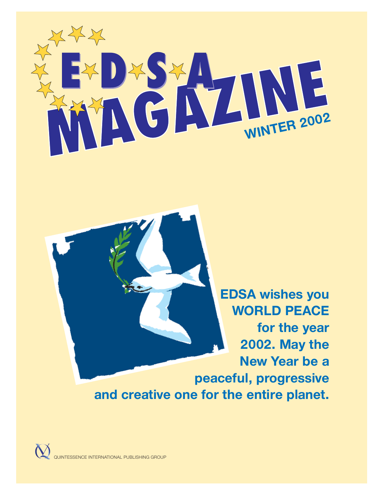

**EDSA wishes you WORLD PEACE for the year 2002. May the New Year be a peaceful, progressive and creative one for the entire planet.**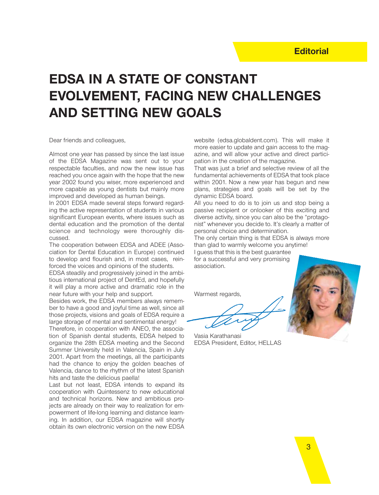# **EDSA IN A STATE OF CONSTANT EVOLVEMENT, FACING NEW CHALLENGES AND SETTING NEW GOALS**

Dear friends and colleagues,

Almost one year has passed by since the last issue of the EDSA Magazine was sent out to your respectable faculties, and now the new issue has reached you once again with the hope that the new year 2002 found you wiser, more experienced and more capable as young dentists but mainly more improved and developed as human beings.

In 2001 EDSA made several steps forward regarding the active representation of students in various significant European events, where issues such as dental education and the promotion of the dental science and technology were thoroughly discussed.

The cooperation between EDSA and ADEE (Association for Dental Education in Europe) continued to develop and flourish and, in most cases, reinforced the voices and opinions of the students.

EDSA steadily and progressively joined in the ambitious international project of DentEd, and hopefully it will play a more active and dramatic role in the near future with your help and support.

Besides work, the EDSA members always remember to have a good and joyful time as well, since all those projects, visions and goals of EDSA require a large storage of mental and sentimental energy! Therefore, in cooperation with ANEO, the association of Spanish dental students, EDSA helped to organize the 28th EDSA meeting and the Second Summer University held in Valencia, Spain in July 2001. Apart from the meetings, all the participants had the chance to enjoy the golden beaches of Valencia, dance to the rhythm of the latest Spanish hits and taste the delicious paella!

Last but not least, EDSA intends to expand its cooperation with Quintessenz to new educational and technical horizons. New and ambitious projects are already on their way to realization for empowerment of life-long learning and distance learning. In addition, our EDSA magazine will shortly obtain its own electronic version on the new EDSA

website (edsa.globaldent.com). This will make it more easier to update and gain access to the magazine, and will allow your active and direct participation in the creation of the magazine.

That was just a brief and selective review of all the fundamental achievements of EDSA that took place within 2001. Now a new year has begun and new plans, strategies and goals will be set by the dynamic EDSA board.

All you need to do is to join us and stop being a passive recipient or onlooker of this exciting and diverse activity, since you can also be the "protagonist" whenever you decide to. It's clearly a matter of personal choice and determination.

The only certain thing is that EDSA is always more than glad to warmly welcome you anytime!

I guess that this is the best guarantee for a successful and very promising association.

Warmest regards,

Vasia Karathanasi EDSA President, Editor, HELLAS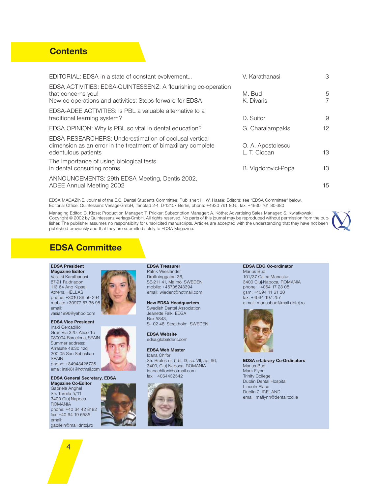# **Contents**

| EDITORIAL: EDSA in a state of constant evolvement                                                                                               | V. Karathanasi                    | 3                   |
|-------------------------------------------------------------------------------------------------------------------------------------------------|-----------------------------------|---------------------|
| EDSA ACTIVITIES: EDSA-QUINTESSENZ: A flourishing co-operation<br>that concerns you!<br>New co-operations and activities: Steps forward for EDSA | M. Bud<br>K. Divaris              | 5<br>$\overline{7}$ |
| EDSA-ADEE ACTIVITIES: Is PBL a valuable alternative to a<br>traditional learning system?                                                        | D. Suitor                         | 9                   |
| EDSA OPINION: Why is PBL so vital in dental education?                                                                                          | G. Charalampakis                  | 12                  |
| EDSA RESEARCHERS: Underestimation of occlusal vertical<br>dimension as an error in the treatment of bimaxillary complete<br>edentulous patients | O. A. Apostolescu<br>L. T. Ciocan | 13                  |
| The importance of using biological tests<br>in dental consulting rooms                                                                          | B. Vigdorovici-Popa               | 13                  |
| ANNOUNCEMENTS: 29th EDSA Meeting, Dentis 2002,<br>ADEE Annual Meeting 2002                                                                      |                                   | 15                  |

EDSA MAGAZINE, Journal of the E.C. Dental Students Committee; Publisher: H. W. Haase; Editors: see "EDSA Committee" below. Editorial Office: Quintessenz Verlags-GmbH, Ifenpfad 2-4, D-12107 Berlin, phone: +4930 761 80-5, fax: +4930 761 80-680

Managing Editor: C. Klose; Production Manager: T. Pricker; Subscription Manager: A. Köthe; Advertising Sales Manager: S. Kwiatkowski Copyright © 2002 by Quintessenz Verlags-GmbH. All rights reserved. No parts of this journal may be reproduced without permission from the publisher. The publisher assumes no responsibilty for unsolicited manuscripts. Articles are accepted with the understanding that they have not been published previously and that they are submitted solely to EDSA Magazine.



# **EDSA Committee**

#### **EDSA President**

**Magazine Editor** Vasiliki Karathanasi 87-91 Faidriadon 113 64 Ano Kipseli Athens, HELLAS phone: +3010 86 50 294 mobile: +30977 87 36 98 email: vasia1996@yahoo.com

#### **EDSA Vice President**

Inaki Cercadillo Gran Via 320, Atico 1o 080004 Barcelona, SPAIN Summer address: Arrasate 48:3o 1zq 200 05 San Sebastian **SPAIN** phone: +34943426726 email: inaki81@hotmail.com

#### **EDSA General Secretary, EDSA**

**Magazine Co-Editor** Gabriela Anghel Str. Tarnita 5/11 3400 Cluj-Napoca ROMANIA phone: +40 64 42 8192 fax: +40 64 19 6585 email: gabilein@mail.dntcj.ro



**EDSA Treasurer** Patrik Wieslander Drottninggatan 36, SE-211 41, Malmö, SWEDEN mobile: +46705243394 email: wiedent@hotmail.com

#### **New EDSA Headquarters**

Swedish Dental Association Jeanette Falk, EDSA Box 5843, S-102 48, Stockholm, SWEDEN

**EDSA Website** edsa.globaldent.com

#### **EDSA Web Master**

Ioana Chifor Str. Brates nr. 5 bl. I3, sc. VII, ap. 66, 3400, Cluj Napoca, ROMANIA ioanachifor@hotmail.com fax: +4064432542



#### **EDSA EDG Co-ordinator**

Marius Bud 101/37 Calea Manastur 3400 Cluj-Napoca, ROMANIA phone: +4064 17 23 05 gsm: +4094 11 61 30 fax: +4064 197 257 e-mail: mariusbud@mail.dntcj.ro



**EDSA e-Library Co-Ordinators** Marius Bud Mark Flynn Trinity College Dublin Dental Hospital Lincoln Place Dublin 2, IRELAND email: maflynn@dental.tcd.ie

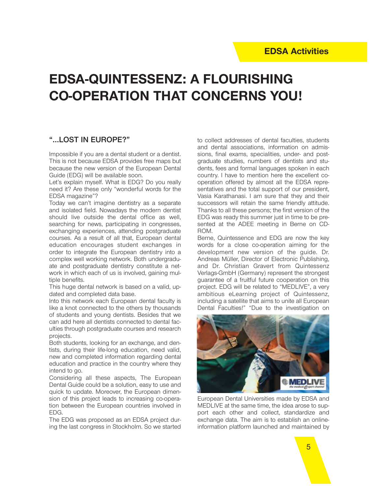# **EDSA-QUINTESSENZ: A FLOURISHING CO-OPERATION THAT CONCERNS YOU!**

## **"...LOST IN EUROPE?"**

Impossible if you are a dental student or a dentist. This is not because EDSA provides free maps but because the new version of the European Dental Guide (EDG) will be available soon.

Let's explain myself. What is EDG? Do you really need it? Are these only "wonderful words for the EDSA magazine"?

Today we can't imagine dentistry as a separate and isolated field. Nowadays the modern dentist should live outside the dental office as well, searching for news, participating in congresses, exchanging experiences, attending postgraduate courses. As a result of all that, European dental education encourages student exchanges in order to integrate the European dentistry into a complex well working network. Both undergraduate and postgraduate dentistry constitute a network in which each of us is involved, gaining multiple benefits.

This huge dental network is based on a valid, updated and completed data base.

Into this network each European dental faculty is like a knot connected to the others by thousands of students and young dentists. Besides that we can add here all dentists connected to dental faculties through postgraduate courses and research projects.

Both students, looking for an exchange, and dentists, during their life-long education, need valid, new and completed information regarding dental education and practice in the country where they intend to go.

Considering all these aspects, The European Dental Guide could be a solution, easy to use and quick to update. Moreover, the European dimension of this project leads to increasing co-operation between the European countries involved in EDG.

The EDG was proposed as an EDSA project during the last congress in Stockholm. So we started to collect addresses of dental faculties, students and dental associations, information on admissions, final exams, specialities, under- and postgraduate studies, numbers of dentists and students, fees and formal languages spoken in each country. I have to mention here the excellent cooperation offered by almost all the EDSA representatives and the total support of our president, Vasia Karathanasi. I am sure that they and their successors will retain the same friendly attitude. Thanks to all these persons; the first version of the EDG was ready this summer just in time to be presented at the ADEE meeting in Berne on CD-ROM.

Berne, Quintessence and EDG are now the key words for a close co-operation aiming for the development new version of the guide. Dr. Andreas Müller, Director of Electronic Publishing, and Dr. Christian Gravert from Quintessenz Verlags-GmbH (Germany) represent the strongest guarantee of a fruitful future cooperation on this project. EDG will be related to "MEDLIVE", a very ambitious eLearning project of Quintessenz, including a satellite that aims to unite all European Dental Faculties!" "Due to the investigation on



European Dental Universities made by EDSA and MEDLIVE at the same time, the idea arose to support each other and collect, standardize and exchange data. The aim is to establish an onlineinformation platform launched and maintained by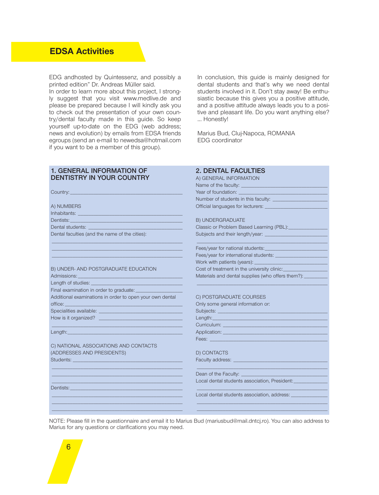EDG andhosted by Quintessenz, and possibly a printed edition" Dr. Andreas Müller said.

In order to learn more about this project, I strongly suggest that you visit www.medlive.de and please be prepared because I will kindly ask you to check out the presentation of your own country/dental faculty made in this guide. So keep yourself up-to-date on the EDG (web address; news and evolution) by emails from EDSA friends egroups (send an e-mail to newedsa@hotmail.com if you want to be a member of this group).

In conclusion, this guide is mainly designed for dental students and that's why we need dental students involved in it. Don't stay away! Be enthusiastic because this gives you a positive attitude. and a positive attitude always leads you to a positive and pleasant life. Do you want anything else? ... Honestly!

Marius Bud, Cluj-Napoca, ROMANIA EDG coordinator

**2. DENTAL FACULTIES** A) GENERAL INFORMATION

Name of the faculty:

#### **1. GENERAL INFORMATION OF DENTISTRY IN YOUR COUNTRY**

| Country:                                                                                                                                                                                                                             | Year of foundation: The control of the control of the control of the control of the control of the control of the control of the control of the control of the control of the control of the control of the control of the con       |
|--------------------------------------------------------------------------------------------------------------------------------------------------------------------------------------------------------------------------------------|--------------------------------------------------------------------------------------------------------------------------------------------------------------------------------------------------------------------------------------|
|                                                                                                                                                                                                                                      | Number of students in this faculty: __________                                                                                                                                                                                       |
| A) NUMBERS                                                                                                                                                                                                                           |                                                                                                                                                                                                                                      |
| Inhabitants: www.administration.com                                                                                                                                                                                                  |                                                                                                                                                                                                                                      |
| Dentists: <b>Dentists: Contract Contract Contract Contract Contract Contract Contract Contract Contract Contract Contract Contract Contract Contract Contract Contract Contract Contract Contract Contract Contract Contract C</b>   | <b>B) UNDERGRADUATE</b>                                                                                                                                                                                                              |
|                                                                                                                                                                                                                                      | Classic or Problem Based Learning (PBL): __________                                                                                                                                                                                  |
| Dental faculties (and the name of the cities):                                                                                                                                                                                       |                                                                                                                                                                                                                                      |
|                                                                                                                                                                                                                                      |                                                                                                                                                                                                                                      |
|                                                                                                                                                                                                                                      | Fees/year for international students: ____________                                                                                                                                                                                   |
|                                                                                                                                                                                                                                      |                                                                                                                                                                                                                                      |
| B) UNDER- AND POSTGRADUATE EDUCATION                                                                                                                                                                                                 | Cost of treatment in the university clinic:                                                                                                                                                                                          |
| Admissions: Admissions: Admissions: Admissions: Admissions: Admissions: Admissions: Admissions: Admissions: Adm                                                                                                                      | Materials and dental supplies (who offers them?): _____                                                                                                                                                                              |
|                                                                                                                                                                                                                                      |                                                                                                                                                                                                                                      |
| Final examination in order to graduate: ___________                                                                                                                                                                                  |                                                                                                                                                                                                                                      |
| Additional examinations in order to open your own dental                                                                                                                                                                             | C) POSTGRADUATE COURSES                                                                                                                                                                                                              |
| office: when the contract of the contract of the contract of the contract of the contract of the contract of the contract of the contract of the contract of the contract of the contract of the contract of the contract of t       | Only some general information or:                                                                                                                                                                                                    |
| Specialities available: <u>contract and a series of the series of the series of the series of the series of the series of the series of the series of the series of the series of the series of the series of the series of the </u> |                                                                                                                                                                                                                                      |
|                                                                                                                                                                                                                                      | Length: <u>contract and contract and contract and contract and contract and contract and contract and contract and contract and contract and contract and contract and contract and contract and contract and contract and contr</u> |
|                                                                                                                                                                                                                                      | Curriculum: Electronic Curriculum and Curriculum                                                                                                                                                                                     |
|                                                                                                                                                                                                                                      |                                                                                                                                                                                                                                      |
|                                                                                                                                                                                                                                      | Fees: 2008 - 2008 - 2008 - 2009 - 2009 - 2009 - 2009 - 2009 - 2009 - 2009 - 2009 - 2009 - 2009 - 2009 - 2009 -                                                                                                                       |
| C) NATIONAL ASSOCIATIONS AND CONTACTS                                                                                                                                                                                                |                                                                                                                                                                                                                                      |
| (ADDRESSES AND PRESIDENTS)                                                                                                                                                                                                           | D) CONTACTS                                                                                                                                                                                                                          |
|                                                                                                                                                                                                                                      |                                                                                                                                                                                                                                      |
|                                                                                                                                                                                                                                      |                                                                                                                                                                                                                                      |
|                                                                                                                                                                                                                                      | Local dental students association, President:                                                                                                                                                                                        |
| Dentists: <u>Contract of the Contract of the Contract of the Contract of the Contract of the Contract of the Contract of the Contract of the Contract of the Contract of the Contract of the Contract of the Contract of the Con</u> |                                                                                                                                                                                                                                      |
|                                                                                                                                                                                                                                      | Local dental students association, address: ___                                                                                                                                                                                      |
|                                                                                                                                                                                                                                      |                                                                                                                                                                                                                                      |
|                                                                                                                                                                                                                                      |                                                                                                                                                                                                                                      |
|                                                                                                                                                                                                                                      |                                                                                                                                                                                                                                      |

NOTE: Please fill in the questionnaire and email it to Marius Bud (mariusbud@mail.dntcj.ro). You can also address to Marius for any questions or clarifications you may need.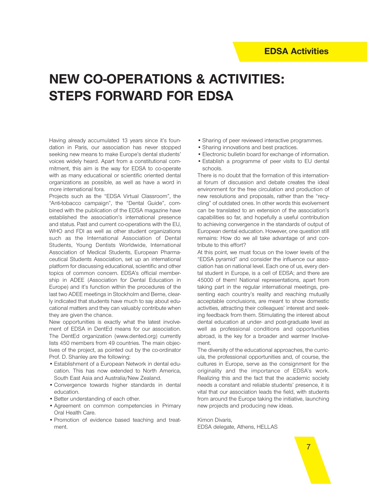# **NEW CO-OPERATIONS & ACTIVITIES: STEPS FORWARD FOR EDSA**

Having already accumulated 13 years since it's foundation in Paris, our association has never stopped seeking new means to make Europe's dental students' voices widely heard. Apart from a constitutional commitment, this aim is the way for EDSA to co-operate with as many educational or scientific oriented dental organizations as possible, as well as have a word in more international fora.

Projects such as the "EDSA Virtual Classroom", the "Anti-tobacco campaign", the "Dental Guide", combined with the publication of the EDSA magazine have established the association's international presence and status. Past and current co-operations with the EU, WHO and FDI as well as other student organizations such as the International Association of Dental Students, Young Dentists Worldwide, International Association of Medical Students, European Pharmaceutical Students Association, set up an international platform for discussing educational, scientific and other topics of common concern. EDSA's official membership in ADEE (Association for Dental Education in Europe) and it's function within the procedures of the last two ADEE meetings in Stockholm and Berne, clearly indicated that students have much to say about educational matters and they can valuably contribute when they are given the chance.

New opportunities is exactly what the latest involvement of EDSA in DentEd means for our association. The DentEd organization (www.dented.org) currently lists 450 members from 49 countries. The main objectives of the project, as pointed out by the co-ordinator Prof. D. Shanley are the following:

- Establishment of a European Network in dental education. This has now extended to North America, South East Asia and Australia/New Zealand.
- Convergence towards higher standards in dental education.
- Better understanding of each other.
- Agreement on common competencies in Primary Oral Health Care.
- Promotion of evidence based teaching and treatment.
- Sharing of peer reviewed interactive programmes.
- Sharing innovations and best practices.
- Electronic bulletin board for exchange of information.
- Establish a programme of peer visits to EU dental schools.

There is no doubt that the formation of this international forum of discussion and debate creates the ideal environment for the free circulation and production of new resolutions and proposals, rather than the "recycling" of outdated ones. In other words this evolvement can be translated to an extension of the association's capabilities so far, and hopefully a useful contribution to achieving convergence in the standards of output of European dental education. However, one question still remains: How do we all take advantage of and contribute to this effort?

At this point, we must focus on the lower levels of the "EDSA pyramid" and consider the influence our association has on national level. Each one of us, every dental student in Europe, is a cell of EDSA; and there are 45000 of them! National representations, apart from taking part in the regular international meetings, presenting each country's reality and reaching mutually acceptable conclusions, are meant to show domestic activities, attracting their colleagues' interest and seeking feedback from them. Stimulating the interest about dental education at under- and post-graduate level as well as professional conditions and opportunities abroad, is the key for a broader and warmer Involvement.

The diversity of the educational approaches, the curricula, the professional opportunities and, of course, the cultures in Europe, serve as the consignment for the originality and the importance of EDSA's work. Realizing this and the fact that the academic society needs a constant and reliable students' presence, it is vital that our association leads the field, with students from around the Europe taking the initiative, launching new projects and producing new ideas.

Kimon Divaris, EDSA delegate, Athens, HELLAS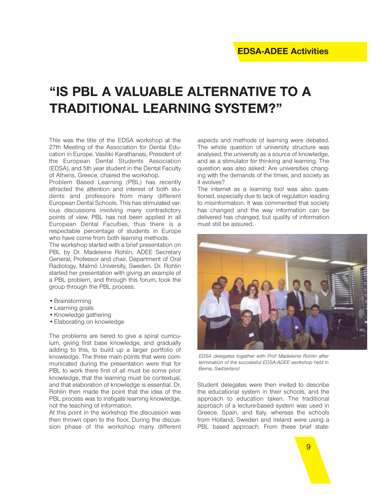# **"IS PBL A VALUABLE ALTERNATIVE TO A TRADITIONAL LEARNING SYSTEM?"**

This was the title of the EDSA workshop at the 27th Meeting of the Association for Dental Education in Europe. Vasiliki Karathanasi, President of the European Dental Students Association (EDSA), and 5th year student in the Dental Faculty of Athens, Greece, chaired the workshop.

Problem Based Learning (PBL) has recently attracted the attention and interest of both students and professors from many different European Dental Schools. This has stimulated various discussions involving many contradictory points of view. PBL has not been applied in all European Dental Faculties, thus there is a respectable percentage of students in Europe who have come from both learning methods.

The workshop started with a brief presentation on PBL by Dr. Madeleine Rohlin, ADEE Secretary General, Professor and chair, Department of Oral Radiology, Malmö University, Sweden. Dr. Rohlin started her presentation with giving an example of a PBL problem, and through this forum, took the group through the PBL process:

- •Brainstorming
- •Learning goals
- •Knowledge gathering
- •Elaborating on knowledge

The problems are tiered to give a spiral curriculum, giving first base knowledge, and gradually adding to this, to build up a larger portfolio of knowledge. The three main points that were communicated during the presentation were that for PBL to work there first of all must be some prior knowledge, that the learning must be contextual, and that elaboration of knowledge is essential. Dr. Rohlin then made the point that the idea of the PBL process was to instigate learning knowledge, not the teaching of information.

At this point in the workshop the discussion was then thrown open to the floor. During the discussion phase of the workshop many different aspects and methods of learning were debated. The whole question of university structure was analysed, the university as a source of knowledge, and as a stimulator for thinking and learning. The question was also asked: Are universities changing with the demands of the times, and society as it evolves?

The internet as a learning tool was also questioned, especially due to lack of regulation leading to misinformation. It was commented that society has changed and the way information can be delivered has changed, but quality of information must still be assured.



*EDSA delegates together with Prof Madeleine Rohlin after termination of the successful EDSA-ADEE workshop held in Berne, Switzerland*

Student delegates were then invited to describe the educational system in their schools, and the approach to education taken. The traditional approach of a lecture-based system was used in Greece, Spain, and Italy, whereas the schools from Holland, Sweden and Ireland were using a PBL based approach. From these brief state-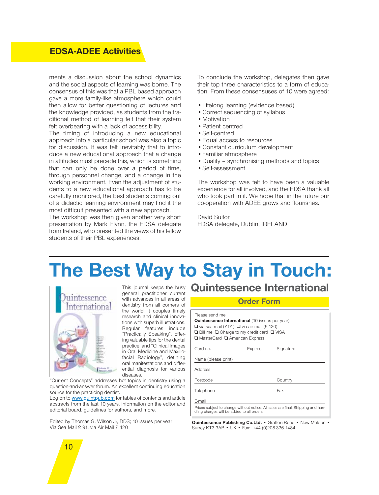# **EDSA-ADEE Activities**

ments a discussion about the school dynamics and the social aspects of learning was borne. The consensus of this was that a PBL based approach gave a more family-like atmosphere which could then allow for better questioning of lectures and the knowledge provided, as students from the traditional method of learning felt that their system felt overbearing with a lack of accessibility.

The timing of introducing a new educational approach into a particular school was also a topic for discussion. It was felt inevitably that to introduce a new educational approach that a change in attitudes must precede this, which is something that can only be done over a period of time, through personnel change, and a change in the working environment. Even the adjustment of students to a new educational approach has to be carefully monitored, the best students coming out of a didactic learning environment may find it the most difficult presented with a new approach.

The workshop was then given another very short presentation by Mark Flynn, the EDSA delegate from Ireland, who presented the views of his fellow students of their PBL experiences.

To conclude the workshop, delegates then gave their top three characteristics to a form of education. From these consensuses of 10 were agreed:

- •Lifelong learning (evidence based)
- •Correct sequencing of syllabus
- Motivation
- •Patient centred
- •Self-centred
- •Equal access to resources
- •Constant curriculum development
- •Familiar atmosphere
- •Duality synchronising methods and topics
- •Self-assessment

The workshop was felt to have been a valuable experience for all involved, and the EDSA thank all who took part in it. We hope that in the future our co-operation with ADEE grows and flourishes.

David Suitor EDSA delegate, Dublin, IRELAND

# **The Best Way to Stay in Touch:**



This journal keeps the busy general practitioner current with advances in all areas of dentistry from all corners of the world. It couples timely research and clinical innovations with superb illustrations. Regular features include "Practically Speaking", offering valuable tips for the dental practice, and "Clinical Images in Oral Medicine and Maxillofacial Radiology", defining oral manifestations and differential diagnosis for various diseases.

"Current Concepts" addresses hot topics in dentistry using a question-and-answer forum. An excellent continuing education source for the practicing dentist.

Log on to www.quintpub.com for tables of contents and article abstracts from the last 10 years, information on the editor and editorial board, guidelines for authors, and more.

Edited by Thomas G. Wilson Jr, DDS; 10 issues per year Via Sea Mail £ 91, via Air Mail £ 120

# **Quintessence International**

#### **Order Form**

| <b>Quintessence International</b> (10 issues per year) |
|--------------------------------------------------------|
| $\Box$ via sea mail (£ 91) $\Box$ via air mail (£ 120) |

|       |  |  |  | $\Box$ Bill me $\Box$ Charge to my credit card $\Box$ VISA |  |  |
|-------|--|--|--|------------------------------------------------------------|--|--|
| - - - |  |  |  |                                                            |  |  |

| □ MasterCard □ American Express |
|---------------------------------|
|                                 |

| Card no.                                                                                                                      | Expires | Signature |
|-------------------------------------------------------------------------------------------------------------------------------|---------|-----------|
| Name (please print)                                                                                                           |         |           |
| Address                                                                                                                       |         |           |
| Postcode                                                                                                                      |         | Country   |
| Telephone                                                                                                                     |         | Fax       |
| E-mail                                                                                                                        |         |           |
| Prices subject to change without notice. All sales are final. Shipping and han-<br>dling charges will be added to all orders. |         |           |

**Quintessence Publishing Co.Ltd.** • Grafton Road • New Malden • Surrey KT3 3AB • UK • Fax: +44 (0)208-336 1484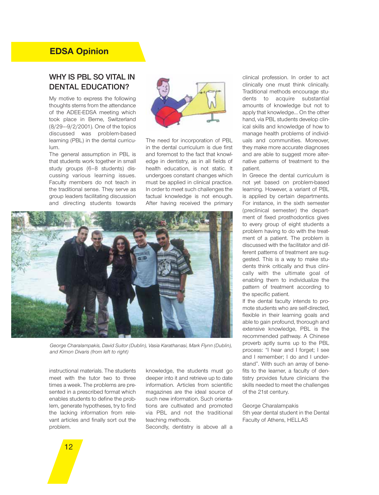# **EDSA Opinion**

# **WHY IS PBL SO VITAL IN DENTAL EDUCATION?**

My motive to express the following thoughts stems from the attendance of the ADEE-EDSA meeting which took place in Berne, Switzerland (8/29–-9/2/2001). One of the topics discussed was problem-based learning (PBL) in the dental curriculum.

The general assumption in PBL is that students work together in small study groups (6–8 students) discussing various learning issues. Faculty members do not teach in the traditional sense. They serve as group leaders facilitating discussion and directing students towards



The need for incorporation of PBL in the dental curriculum is due first and foremost to the fact that knowledge in dentistry, as in all fields of health education, is not static. It undergoes constant changes which must be applied in clinical practice. In order to meet such challenges the factual knowledge is not enough. After having received the primary



*George Charalampakis, David Suitor (Dublin), Vasia Karathanasi, Mark Flynn (Dublin), and Kimon Divaris (from left to right)*

instructional materials. The students meet with the tutor two to three times a week. The problems are presented in a prescribed format which enables students to define the problem, generate hypotheses, try to find the lacking information from relevant articles and finally sort out the problem.

knowledge, the students must go deeper into it and retrieve up to date information. Articles from scientific magazines are the ideal source of such new information. Such orientations are cultivated and promoted via PBL and not the traditional teaching methods.

Secondly, dentistry is above all a

clinical profession. In order to act clinically one must think clinically. Traditional methods encourage students to acquire substantial amounts of knowledge but not to apply that knowledge… On the other hand, via PBL students develop clinical skills and knowledge of how to manage health problems of individuals and communities. Moreover, they make more accurate diagnoses and are able to suggest more alternative patterns of treatment to the patient.

In Greece the dental curriculum is not yet based on problem-based learning. However, a variant of PBL is applied by certain departments. For instance, in the sixth semester (preclinical semester) the department of fixed prosthodontics gives to every group of eight students a problem having to do with the treatment of a patient. The problem is discussed with the facilitator and different patterns of treatment are suggested. This is a way to make students think critically and thus clinically with the ultimate goal of enabling them to individualize the pattern of treatment according to the specific patient.

If the dental faculty intends to promote students who are self-directed, flexible in their learning goals and able to gain profound, thorough and extensive knowledge, PBL is the recommended pathway. A Chinese proverb aptly sums up to the PBL process: "I hear and I forget; I see and I remember; I do and I understand". With such an array of benefits to the learner, a faculty of dentistry provides future clinicians the skills needed to meet the challenges of the 21st century.

#### George Charalampakis 5th year dental student in the Dental Faculty of Athens, HELLAS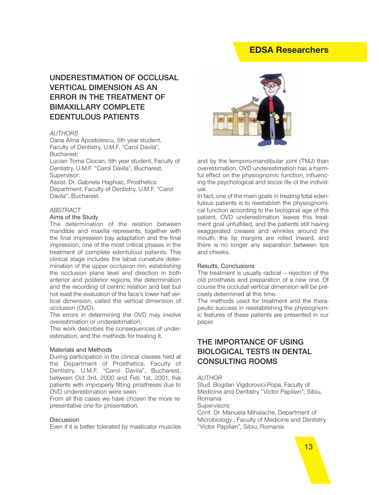# **EDSA Researchers**

# **UNDERESTIMATION OF OCCLUSAL VERTICAL DIMENSION AS AN ERROR IN THE TREATMENT OF BIMAXILLARY COMPLETE EDENTULOUS PATIENTS**

#### *AUTHORS*

Oana Alina Apostolescu, 5th year student, Faculty of Dentistry, U.M.F. "Carol Davila", Bucharest;

Lucian Toma Ciocan, 5th year student, Faculty of Dentistry, U.M.F. "Carol Davila", Bucharest. Supervisor:

Assist. Dr. Gabriela Haghiac, Prosthetics Department, Faculty of Dentistry, U.M.F. "Carol Davila", Bucharest.

#### *ABSTRACT*

#### Aims of the Study

The determination of the relation between mandible and maxilla represents, together with the final impression tray adaptation and the final impression, one of the most critical phases in the treatment of complete edentulous patients. This clinical stage includes the labial curvature determination of the upper occlusion rim, establishing the occlusion plane level and direction in both anterior and posterior regions, the determination and the recording of centric relation and last but not least the evaluation of the face's lower half vertical dimension, called the vertical dimension of occlusion (OVD).

The errors in determining the OVD may involve overestimation or underestimation.

This work describes the consequences of underestimation, and the methods for treating it.

#### Materials and Methods

During participation in the clinical classes held at the Department of Prosthetics, Faculty of Dentistry, U.M.F. "Carol Davila", Bucharest, between Oct 3rd, 2000 and Feb 1st, 2001, five patients with improperly fitting prostheses due to OVD underestimation were seen.

From all this cases we have chosen the more representative one for presentation.

#### **Discussion**

Even if it is better tolerated by masticator muscles



and by the temporo-mandibular joint (TMJ) than overestimation, OVD underestimation has a harmful effect on the physiognomic function, influencing the psychological and social life of the individual.

In fact, one of the main goals in treating total edentulous patients is to reestablish the physiognomical function according to the biological age of the patient. OVD underestimation leaves this treatment goal unfulfilled, and the patients still having exaggerated creases and wrinkles around the mouth, the lip margins are rolled inward, and there is no longer any separation between lips and cheeks.

#### Results, Conclusions

The treatment is usually radical – rejection of the old prosthesis and preparation of a new one. Of course the occlusal vertical dimension will be precisely determined at this time.

The methods used for treatment and the therapeutic success in reestablishing the physiognomic features of these patients are presented in our paper.

# **THE IMPORTANCE OF USING BIOLOGICAL TESTS IN DENTAL CONSULTING ROOMS**

#### *AUTHOR*

Stud. Bogdan Vigdorovici-Popa, Faculty of Medicine and Dentistry "Victor Papilian", Sibiu, Romania

Supervisors:

Conf. Dr. Manuela Mihalache, Department of Microbiology , Faculty of Medicine and Dentistry "Victor Papilian", Sibiu, Romania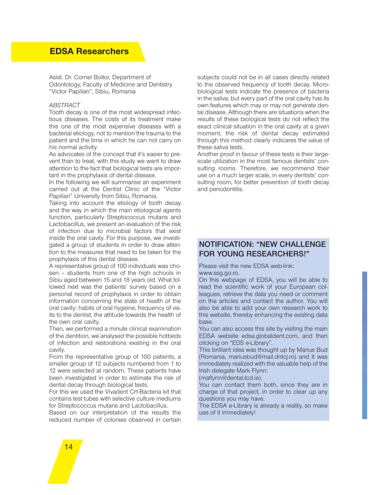Asist. Dr. Cornel Boitor, Department of Odontology, Faculty of Medicine and Dentistry "Victor Papilian", Sibiu, Romania

#### *ABSTRACT*

Tooth decay is one of the most widespread infectious diseases. The costs of its treatment make this one of the most expensive diseases with a bacterial etiology, not to mention the trauma to the patient and the time in which he can not carry on his normal activity.

As advocates of the concept that it's easier to prevent than to treat, with this study we want to draw attention to the fact that biological tests are important in the prophylaxis of dental disease.

In the following we will summarise an experiment carried out at the Dentist Clinic of the "Victor Papilian" University from Sibiu, Romania.

Taking into account the etiology of tooth decay and the way in which the main etiological agents function, particularly Streptococcus mutans and Lactobacillus, we present an evaluation of the risk of infection due to microbial factors that exist inside the oral cavity. For this purpose, we investigated a group of students in order to draw attention to the measures that need to be taken for the prophylaxis of this dental disease.

A representative group of 100 individuals was chosen – students from one of the high schools in Sibiu aged between 15 and 18 years old. What followed next was the patients' survey based on a personal record of prophylaxis in order to obtain information concerning the state of health of the oral cavity: habits of oral hygiene, frequency of visits to the dentist, the attitude towards the health of the own oral cavity.

Then, we performed a minute clinical examination of the dentition, we analysed the possible hotbeds of infection and restorations existing in the oral cavity.

From the representative group of 100 patients, a smaller group of 12 subjects numbered from 1 to 12 were selected at random. These patients have been investigated in order to estimate the risk of dental decay through biological tests.

For this we used the Vivadent Crt-Bacteria kit that contains test tubes with selective culture mediums for Streptococcus mutans and Lactobacillus.

Based on our interpretation of the results the reduced number of colonies observed in certain subjects could not be in all cases directly related to the observed frequency of tooth decay. Microbiological tests indicate the presence of bacteria in the saliva, but every part of the oral cavity has its own features which may or may not generate dental disease. Although there are situations when the results of these biological tests do not reflect the exact clinical situation in the oral cavity at a given moment, the risk of dental decay estimated through this method clearly indicares the value of these saliva tests.

Another proof in favour of these tests is their largescale utilization in the most famous dentists' consulting rooms. Therefore, we recommend their use on a much larger scale, in every dentists' consulting room, for better prevention of tooth decay and periodontitis.

## **NOTIFICATION: "NEW CHALLENGE FOR YOUNG RESEARCHERS!"**

Please visit the new EDSA web-link: www.ssg.go.ro.

On this webpage of EDSA, you will be able to read the scientific work of your European colleagues, retrieve the data you need or comment on the articles and contact the author. You will also be able to add your own research work to this website, thereby enhancing the existing data base.

You can also access this site by visiting the main EDSA website edsa.globaldent.com, and then clicking on "EDS e-Library".

This brilliant idea was thought up by Marius Bud (Romania, mariusbud@mail.dntcj.ro) and it was immediately realized with the valuable help of the Irish delegate Mark Flynn:

(maflynn@dental.tcd.ie).

You can contact them both, since they are in charge of that project, in order to clear up any questions you may have.

The EDSA e-Library is already a reality, so make use of it immediately!